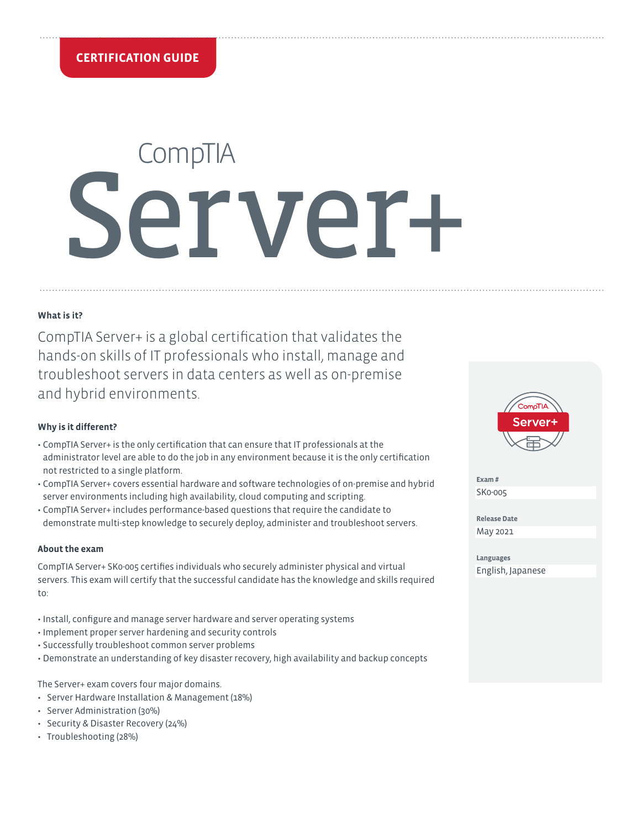# **CompTIA** Server+

## **What is it?**

CompTIA Server+ is a global certification that validates the hands-on skills of IT professionals who install, manage and troubleshoot servers in data centers as well as on-premise and hybrid environments.

## **Why is it different?**

- CompTIA Server+ is the only certification that can ensure that IT professionals at the administrator level are able to do the job in any environment because it is the only certification not restricted to a single platform.
- CompTIA Server+ covers essential hardware and software technologies of on-premise and hybrid server environments including high availability, cloud computing and scripting.
- CompTIA Server+ includes performance-based questions that require the candidate to demonstrate multi-step knowledge to securely deploy, administer and troubleshoot servers.

## **About the exam**

CompTIA Server+ SK0-005 certifies individuals who securely administer physical and virtual servers. This exam will certify that the successful candidate has the knowledge and skills required to:

- Install, configure and manage server hardware and server operating systems
- Implement proper server hardening and security controls
- Successfully troubleshoot common server problems
- Demonstrate an understanding of key disaster recovery, high availability and backup concepts

The Server+ exam covers four major domains.

- Server Hardware Installation & Management (18%)
- Server Administration (30%)
- Security & Disaster Recovery (24%)
- Troubleshooting (28%)



**Exam #** SK0-005

**Release Date** May 2021

**Languages** English, Japanese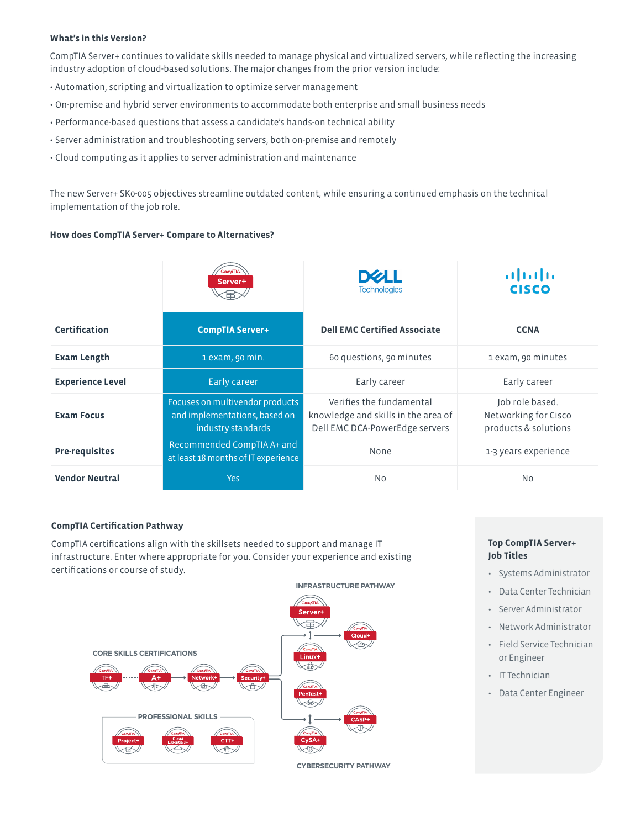## **What's in this Version?**

CompTIA Server+ continues to validate skills needed to manage physical and virtualized servers, while reflecting the increasing industry adoption of cloud-based solutions. The major changes from the prior version include:

- Automation, scripting and virtualization to optimize server management
- On-premise and hybrid server environments to accommodate both enterprise and small business needs
- Performance-based questions that assess a candidate's hands-on technical ability
- Server administration and troubleshooting servers, both on-premise and remotely
- Cloud computing as it applies to server administration and maintenance

The new Server+ SK0-005 objectives streamline outdated content, while ensuring a continued emphasis on the technical implementation of the job role.

## **How does CompTIA Server+ Compare to Alternatives?**

|                         | CompTIA<br>Server+<br>₻                                                                | <b>Technologies</b>                                                                               | ախախա<br><b>CISCO</b>                                           |
|-------------------------|----------------------------------------------------------------------------------------|---------------------------------------------------------------------------------------------------|-----------------------------------------------------------------|
| <b>Certification</b>    | <b>CompTIA Server+</b>                                                                 | <b>Dell EMC Certified Associate</b>                                                               | <b>CCNA</b>                                                     |
| <b>Exam Length</b>      | 1 exam, 90 min.                                                                        | 60 questions, 90 minutes                                                                          | 1 exam, 90 minutes                                              |
| <b>Experience Level</b> | Early career                                                                           | Early career                                                                                      | Early career                                                    |
| <b>Exam Focus</b>       | Focuses on multivendor products<br>and implementations, based on<br>industry standards | Verifies the fundamental<br>knowledge and skills in the area of<br>Dell EMC DCA-PowerEdge servers | Job role based.<br>Networking for Cisco<br>products & solutions |
| <b>Pre-requisites</b>   | Recommended CompTIA A+ and<br>at least 18 months of IT experience                      | None                                                                                              | 1-3 years experience                                            |
| <b>Vendor Neutral</b>   | <b>Yes</b>                                                                             | N <sub>0</sub>                                                                                    | <b>No</b>                                                       |

## **CompTIA Certification Pathway**

CompTIA certifications align with the skillsets needed to support and manage IT infrastructure. Enter where appropriate for you. Consider your experience and existing certifications or course of study.



## **Top CompTIA Server+ Job Titles**

- Systems Administrator
- Data Center Technician
- Server Administrator
- Network Administrator
- Field Service Technician or Engineer
- IT Technician
- Data Center Engineer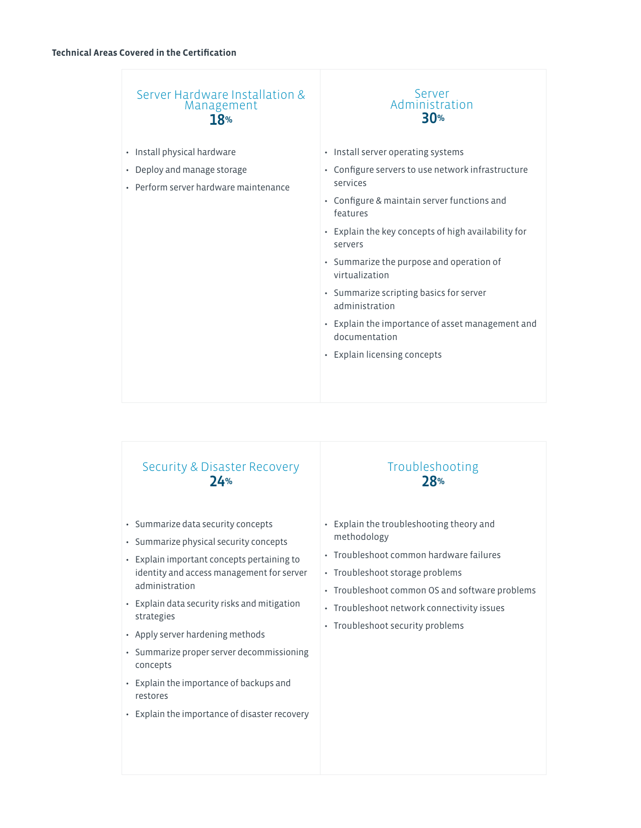| Server Hardware Installation &<br>Management<br><b>18%</b>           | Server<br>Administration<br><b>30%</b>                            |
|----------------------------------------------------------------------|-------------------------------------------------------------------|
| · Install physical hardware                                          | • Install server operating systems                                |
| • Deploy and manage storage<br>• Perform server hardware maintenance | • Configure servers to use network infrastructure<br>services     |
|                                                                      | • Configure & maintain server functions and<br>features           |
|                                                                      | • Explain the key concepts of high availability for<br>servers    |
|                                                                      | • Summarize the purpose and operation of<br>virtualization        |
|                                                                      | • Summarize scripting basics for server<br>administration         |
|                                                                      | • Explain the importance of asset management and<br>documentation |
|                                                                      | • Explain licensing concepts                                      |
|                                                                      |                                                                   |
|                                                                      |                                                                   |

## Security & Disaster Recovery 24%

- Summarize data security concepts
- Summarize physical security concepts
- Explain important concepts pertaining to identity and access management for server administration
- Explain data security risks and mitigation strategies
- Apply server hardening methods
- Summarize proper server decommissioning concepts
- Explain the importance of backups and restores
- Explain the importance of disaster recovery

# Troubleshooting 28%

- Explain the troubleshooting theory and methodology
- Troubleshoot common hardware failures
- Troubleshoot storage problems
- Troubleshoot common OS and software problems
- Troubleshoot network connectivity issues
- Troubleshoot security problems